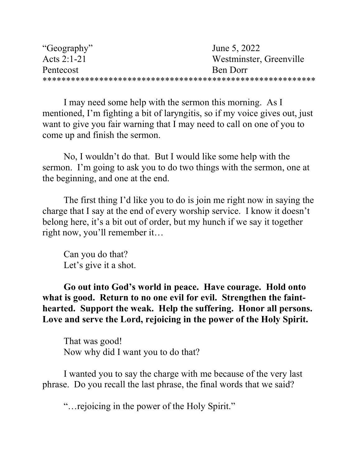| "Geography" | June 5, 2022            |
|-------------|-------------------------|
| Acts 2:1-21 | Westminster, Greenville |
| Pentecost   | Ben Dorr                |
|             |                         |

 I may need some help with the sermon this morning. As I mentioned, I'm fighting a bit of laryngitis, so if my voice gives out, just want to give you fair warning that I may need to call on one of you to come up and finish the sermon.

No, I wouldn't do that. But I would like some help with the sermon. I'm going to ask you to do two things with the sermon, one at the beginning, and one at the end.

 The first thing I'd like you to do is join me right now in saying the charge that I say at the end of every worship service. I know it doesn't belong here, it's a bit out of order, but my hunch if we say it together right now, you'll remember it…

 Can you do that? Let's give it a shot.

Go out into God's world in peace. Have courage. Hold onto what is good. Return to no one evil for evil. Strengthen the fainthearted. Support the weak. Help the suffering. Honor all persons. Love and serve the Lord, rejoicing in the power of the Holy Spirit.

 That was good! Now why did I want you to do that?

 I wanted you to say the charge with me because of the very last phrase. Do you recall the last phrase, the final words that we said?

"…rejoicing in the power of the Holy Spirit."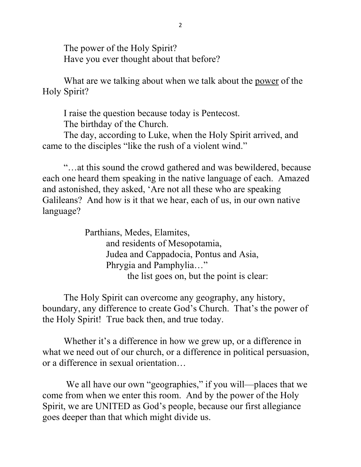The power of the Holy Spirit? Have you ever thought about that before?

 What are we talking about when we talk about the power of the Holy Spirit?

I raise the question because today is Pentecost.

The birthday of the Church.

 The day, according to Luke, when the Holy Spirit arrived, and came to the disciples "like the rush of a violent wind."

 "…at this sound the crowd gathered and was bewildered, because each one heard them speaking in the native language of each. Amazed and astonished, they asked, 'Are not all these who are speaking Galileans? And how is it that we hear, each of us, in our own native language?

> Parthians, Medes, Elamites, and residents of Mesopotamia, Judea and Cappadocia, Pontus and Asia, Phrygia and Pamphylia…" the list goes on, but the point is clear:

 The Holy Spirit can overcome any geography, any history, boundary, any difference to create God's Church. That's the power of the Holy Spirit! True back then, and true today.

Whether it's a difference in how we grew up, or a difference in what we need out of our church, or a difference in political persuasion, or a difference in sexual orientation…

We all have our own "geographies," if you will—places that we come from when we enter this room. And by the power of the Holy Spirit, we are UNITED as God's people, because our first allegiance goes deeper than that which might divide us.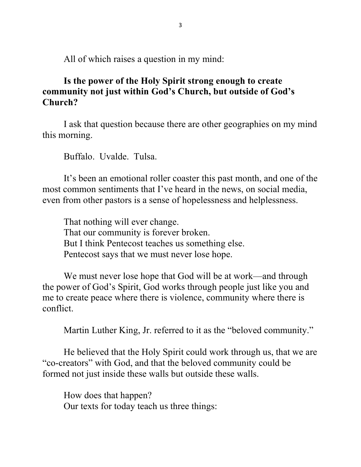All of which raises a question in my mind:

## Is the power of the Holy Spirit strong enough to create community not just within God's Church, but outside of God's Church?

I ask that question because there are other geographies on my mind this morning.

Buffalo. Uvalde. Tulsa.

It's been an emotional roller coaster this past month, and one of the most common sentiments that I've heard in the news, on social media, even from other pastors is a sense of hopelessness and helplessness.

That nothing will ever change. That our community is forever broken. But I think Pentecost teaches us something else. Pentecost says that we must never lose hope.

We must never lose hope that God will be at work—and through the power of God's Spirit, God works through people just like you and me to create peace where there is violence, community where there is conflict.

Martin Luther King, Jr. referred to it as the "beloved community."

He believed that the Holy Spirit could work through us, that we are "co-creators" with God, and that the beloved community could be formed not just inside these walls but outside these walls.

 How does that happen? Our texts for today teach us three things: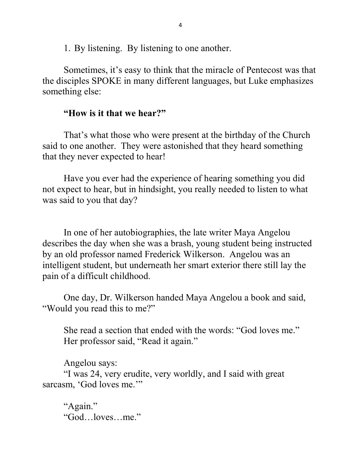1. By listening. By listening to one another.

Sometimes, it's easy to think that the miracle of Pentecost was that the disciples SPOKE in many different languages, but Luke emphasizes something else:

## "How is it that we hear?"

 That's what those who were present at the birthday of the Church said to one another. They were astonished that they heard something that they never expected to hear!

 Have you ever had the experience of hearing something you did not expect to hear, but in hindsight, you really needed to listen to what was said to you that day?

In one of her autobiographies, the late writer Maya Angelou describes the day when she was a brash, young student being instructed by an old professor named Frederick Wilkerson. Angelou was an intelligent student, but underneath her smart exterior there still lay the pain of a difficult childhood.

One day, Dr. Wilkerson handed Maya Angelou a book and said, "Would you read this to me?"

She read a section that ended with the words: "God loves me." Her professor said, "Read it again."

Angelou says:

"I was 24, very erudite, very worldly, and I said with great sarcasm, 'God loves me."

"Again." "God…loves…me."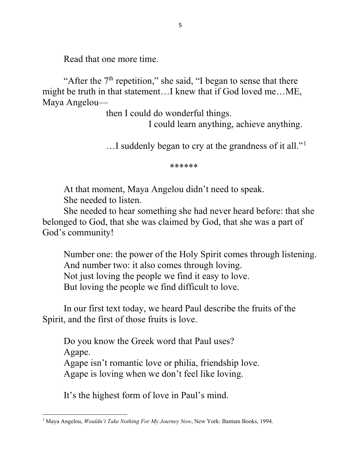Read that one more time.

"After the  $7<sup>th</sup>$  repetition," she said, "I began to sense that there might be truth in that statement…I knew that if God loved me…ME, Maya Angelou—

then I could do wonderful things.

I could learn anything, achieve anything.

.....I suddenly began to cry at the grandness of it all."<sup>1</sup>

\*\*\*\*\*\*

 At that moment, Maya Angelou didn't need to speak. She needed to listen.

She needed to hear something she had never heard before: that she belonged to God, that she was claimed by God, that she was a part of God's community!

Number one: the power of the Holy Spirit comes through listening. And number two: it also comes through loving. Not just loving the people we find it easy to love. But loving the people we find difficult to love.

 In our first text today, we heard Paul describe the fruits of the Spirit, and the first of those fruits is love.

 Do you know the Greek word that Paul uses? Agape. Agape isn't romantic love or philia, friendship love. Agape is loving when we don't feel like loving.

It's the highest form of love in Paul's mind.

<sup>&</sup>lt;sup>1</sup> Maya Angelou, *Wouldn't Take Nothing For My Journey Now*, New York: Bantam Books, 1994.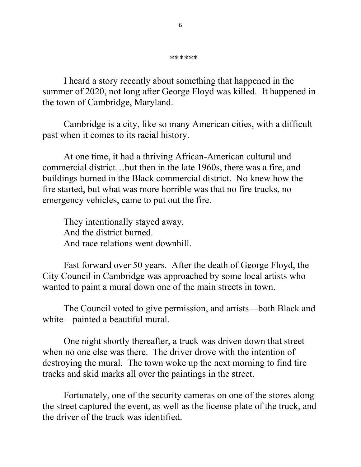I heard a story recently about something that happened in the summer of 2020, not long after George Floyd was killed. It happened in the town of Cambridge, Maryland.

 Cambridge is a city, like so many American cities, with a difficult past when it comes to its racial history.

At one time, it had a thriving African-American cultural and commercial district…but then in the late 1960s, there was a fire, and buildings burned in the Black commercial district. No knew how the fire started, but what was more horrible was that no fire trucks, no emergency vehicles, came to put out the fire.

 They intentionally stayed away. And the district burned. And race relations went downhill.

 Fast forward over 50 years. After the death of George Floyd, the City Council in Cambridge was approached by some local artists who wanted to paint a mural down one of the main streets in town.

 The Council voted to give permission, and artists—both Black and white—painted a beautiful mural.

 One night shortly thereafter, a truck was driven down that street when no one else was there. The driver drove with the intention of destroying the mural. The town woke up the next morning to find tire tracks and skid marks all over the paintings in the street.

 Fortunately, one of the security cameras on one of the stores along the street captured the event, as well as the license plate of the truck, and the driver of the truck was identified.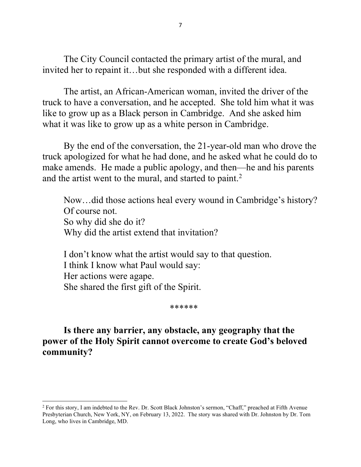The City Council contacted the primary artist of the mural, and invited her to repaint it…but she responded with a different idea.

 The artist, an African-American woman, invited the driver of the truck to have a conversation, and he accepted. She told him what it was like to grow up as a Black person in Cambridge. And she asked him what it was like to grow up as a white person in Cambridge.

 By the end of the conversation, the 21-year-old man who drove the truck apologized for what he had done, and he asked what he could do to make amends. He made a public apology, and then—he and his parents and the artist went to the mural, and started to paint.<sup>2</sup>

 Now…did those actions heal every wound in Cambridge's history? Of course not. So why did she do it? Why did the artist extend that invitation?

 I don't know what the artist would say to that question. I think I know what Paul would say: Her actions were agape. She shared the first gift of the Spirit.

\*\*\*\*\*\*

## Is there any barrier, any obstacle, any geography that the power of the Holy Spirit cannot overcome to create God's beloved community?

<sup>&</sup>lt;sup>2</sup> For this story, I am indebted to the Rev. Dr. Scott Black Johnston's sermon, "Chaff," preached at Fifth Avenue Presbyterian Church, New York, NY, on February 13, 2022. The story was shared with Dr. Johnston by Dr. Tom Long, who lives in Cambridge, MD.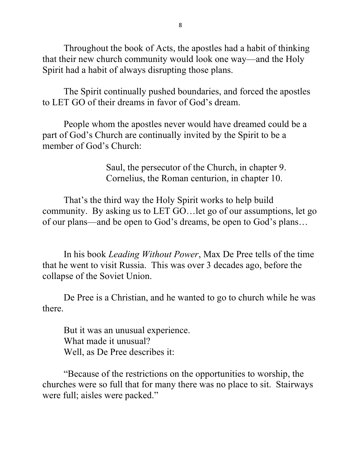Throughout the book of Acts, the apostles had a habit of thinking that their new church community would look one way—and the Holy Spirit had a habit of always disrupting those plans.

 The Spirit continually pushed boundaries, and forced the apostles to LET GO of their dreams in favor of God's dream.

 People whom the apostles never would have dreamed could be a part of God's Church are continually invited by the Spirit to be a member of God's Church:

> Saul, the persecutor of the Church, in chapter 9. Cornelius, the Roman centurion, in chapter 10.

 That's the third way the Holy Spirit works to help build community. By asking us to LET GO…let go of our assumptions, let go of our plans—and be open to God's dreams, be open to God's plans…

In his book Leading Without Power, Max De Pree tells of the time that he went to visit Russia. This was over 3 decades ago, before the collapse of the Soviet Union.

De Pree is a Christian, and he wanted to go to church while he was there.

But it was an unusual experience. What made it unusual? Well, as De Pree describes it:

"Because of the restrictions on the opportunities to worship, the churches were so full that for many there was no place to sit. Stairways were full; aisles were packed."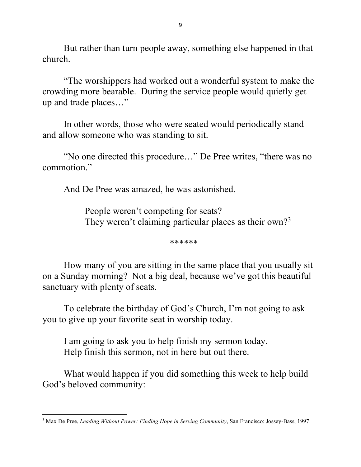But rather than turn people away, something else happened in that church.

"The worshippers had worked out a wonderful system to make the crowding more bearable. During the service people would quietly get up and trade places…"

In other words, those who were seated would periodically stand and allow someone who was standing to sit.

"No one directed this procedure…" De Pree writes, "there was no commotion."

And De Pree was amazed, he was astonished.

People weren't competing for seats? They weren't claiming particular places as their own?<sup>3</sup>

\*\*\*\*\*\*

How many of you are sitting in the same place that you usually sit on a Sunday morning? Not a big deal, because we've got this beautiful sanctuary with plenty of seats.

To celebrate the birthday of God's Church, I'm not going to ask you to give up your favorite seat in worship today.

 I am going to ask you to help finish my sermon today. Help finish this sermon, not in here but out there.

What would happen if you did something this week to help build God's beloved community:

<sup>&</sup>lt;sup>3</sup> Max De Pree, Leading Without Power: Finding Hope in Serving Community, San Francisco: Jossey-Bass, 1997.